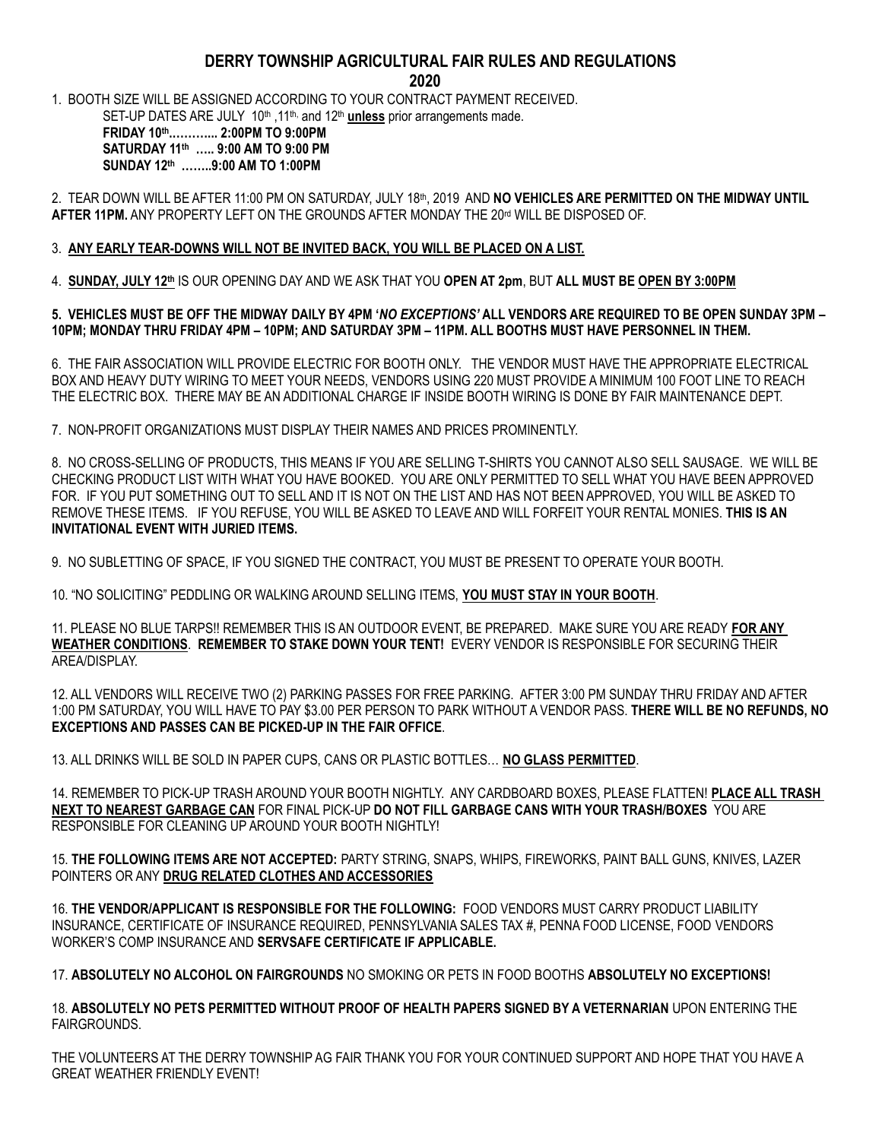## **DERRY TOWNSHIP AGRICULTURAL FAIR RULES AND REGULATIONS**

1. BOOTH SIZE WILL BE ASSIGNED ACCORDING TO YOUR CONTRACT PAYMENT RECEIVED.

SET-UP DATES ARE JULY 10<sup>th</sup>, 11<sup>th,</sup> and 12<sup>th</sup> unless prior arrangements made. **FRIDAY 10th .………... 2:00PM TO 9:00PM**

**SATURDAY 11th ….. 9:00 AM TO 9:00 PM SUNDAY 12th ……..9:00 AM TO 1:00PM**

2. TEAR DOWN WILL BE AFTER 11:00 PM ON SATURDAY, JULY 18th, 2019 AND **NO VEHICLES ARE PERMITTED ON THE MIDWAY UNTIL**  AFTER 11PM. ANY PROPERTY LEFT ON THE GROUNDS AFTER MONDAY THE 20<sup>rd</sup> WILL BE DISPOSED OF.

### 3. **ANY EARLY TEAR-DOWNS WILL NOT BE INVITED BACK, YOU WILL BE PLACED ON A LIST.**

4. **SUNDAY, JULY 12th** IS OUR OPENING DAY AND WE ASK THAT YOU **OPEN AT 2pm**, BUT **ALL MUST BE OPEN BY 3:00PM**

#### **5. VEHICLES MUST BE OFF THE MIDWAY DAILY BY 4PM '***NO EXCEPTIONS'* **ALL VENDORS ARE REQUIRED TO BE OPEN SUNDAY 3PM – 10PM; MONDAY THRU FRIDAY 4PM – 10PM; AND SATURDAY 3PM – 11PM. ALL BOOTHS MUST HAVE PERSONNEL IN THEM.**

6. THE FAIR ASSOCIATION WILL PROVIDE ELECTRIC FOR BOOTH ONLY. THE VENDOR MUST HAVE THE APPROPRIATE ELECTRICAL BOX AND HEAVY DUTY WIRING TO MEET YOUR NEEDS, VENDORS USING 220 MUST PROVIDE A MINIMUM 100 FOOT LINE TO REACH THE ELECTRIC BOX. THERE MAY BE AN ADDITIONAL CHARGE IF INSIDE BOOTH WIRING IS DONE BY FAIR MAINTENANCE DEPT.

7. NON-PROFIT ORGANIZATIONS MUST DISPLAY THEIR NAMES AND PRICES PROMINENTLY.

8. NO CROSS-SELLING OF PRODUCTS, THIS MEANS IF YOU ARE SELLING T-SHIRTS YOU CANNOT ALSO SELL SAUSAGE. WE WILL BE CHECKING PRODUCT LIST WITH WHAT YOU HAVE BOOKED. YOU ARE ONLY PERMITTED TO SELL WHAT YOU HAVE BEEN APPROVED FOR. IF YOU PUT SOMETHING OUT TO SELL AND IT IS NOT ON THE LIST AND HAS NOT BEEN APPROVED, YOU WILL BE ASKED TO REMOVE THESE ITEMS. IF YOU REFUSE, YOU WILL BE ASKED TO LEAVE AND WILL FORFEIT YOUR RENTAL MONIES. **THIS IS AN INVITATIONAL EVENT WITH JURIED ITEMS.**

9. NO SUBLETTING OF SPACE, IF YOU SIGNED THE CONTRACT, YOU MUST BE PRESENT TO OPERATE YOUR BOOTH.

10. "NO SOLICITING" PEDDLING OR WALKING AROUND SELLING ITEMS, **YOU MUST STAY IN YOUR BOOTH**.

11. PLEASE NO BLUE TARPS!! REMEMBER THIS IS AN OUTDOOR EVENT, BE PREPARED. MAKE SURE YOU ARE READY **FOR ANY WEATHER CONDITIONS**. **REMEMBER TO STAKE DOWN YOUR TENT!** EVERY VENDOR IS RESPONSIBLE FOR SECURING THEIR AREA/DISPLAY.

12. ALL VENDORS WILL RECEIVE TWO (2) PARKING PASSES FOR FREE PARKING. AFTER 3:00 PM SUNDAY THRU FRIDAY AND AFTER 1:00 PM SATURDAY, YOU WILL HAVE TO PAY \$3.00 PER PERSON TO PARK WITHOUT A VENDOR PASS. **THERE WILL BE NO REFUNDS, NO EXCEPTIONS AND PASSES CAN BE PICKED-UP IN THE FAIR OFFICE**.

13. ALL DRINKS WILL BE SOLD IN PAPER CUPS, CANS OR PLASTIC BOTTLES… **NO GLASS PERMITTED**.

14. REMEMBER TO PICK-UP TRASH AROUND YOUR BOOTH NIGHTLY. ANY CARDBOARD BOXES, PLEASE FLATTEN! **PLACE ALL TRASH NEXT TO NEAREST GARBAGE CAN** FOR FINAL PICK-UP **DO NOT FILL GARBAGE CANS WITH YOUR TRASH/BOXES** YOU ARE RESPONSIBLE FOR CLEANING UP AROUND YOUR BOOTH NIGHTLY!

15. **THE FOLLOWING ITEMS ARE NOT ACCEPTED:** PARTY STRING, SNAPS, WHIPS, FIREWORKS, PAINT BALL GUNS, KNIVES, LAZER POINTERS OR ANY **DRUG RELATED CLOTHES AND ACCESSORIES**

16. **THE VENDOR/APPLICANT IS RESPONSIBLE FOR THE FOLLOWING:** FOOD VENDORS MUST CARRY PRODUCT LIABILITY INSURANCE, CERTIFICATE OF INSURANCE REQUIRED, PENNSYLVANIA SALES TAX #, PENNA FOOD LICENSE, FOOD VENDORS WORKER'S COMP INSURANCE AND **SERVSAFE CERTIFICATE IF APPLICABLE.**

17. **ABSOLUTELY NO ALCOHOL ON FAIRGROUNDS** NO SMOKING OR PETS IN FOOD BOOTHS **ABSOLUTELY NO EXCEPTIONS!**

18. **ABSOLUTELY NO PETS PERMITTED WITHOUT PROOF OF HEALTH PAPERS SIGNED BY A VETERNARIAN** UPON ENTERING THE FAIRGROUNDS.

THE VOLUNTEERS AT THE DERRY TOWNSHIP AG FAIR THANK YOU FOR YOUR CONTINUED SUPPORT AND HOPE THAT YOU HAVE A GREAT WEATHER FRIENDLY EVENT!